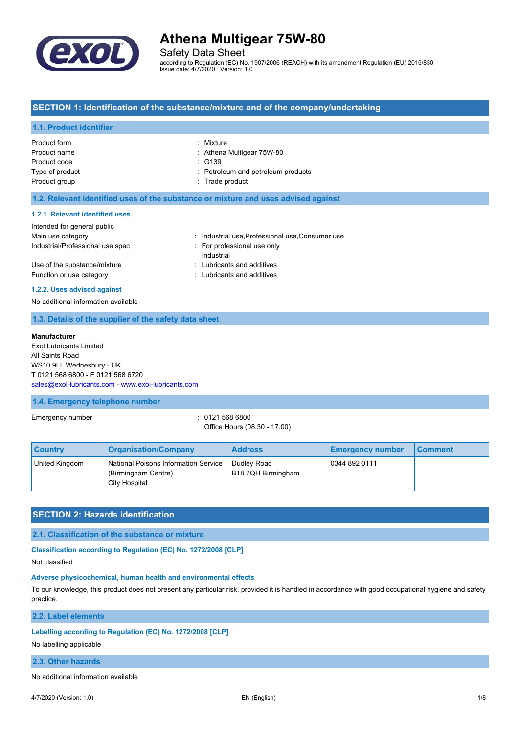

Safety Data Sheet

according to Regulation (EC) No. 1907/2006 (REACH) with its amendment Regulation (EU) 2015/830 Issue date: 4/7/2020 Version: 1.0

## **SECTION 1: Identification of the substance/mixture and of the company/undertaking**

#### **1.1. Product identifier**

| Product form    | : Mixture                          |
|-----------------|------------------------------------|
| Product name    | : Athena Multigear 75W-80          |
| Product code    | $\div$ G139                        |
| Type of product | : Petroleum and petroleum products |
| Product group   | : Trade product                    |
|                 |                                    |

## **1.2. Relevant identified uses of the substance or mixture and uses advised against**

#### **1.2.1. Relevant identified uses**

| Intended for general public                              |                                                          |
|----------------------------------------------------------|----------------------------------------------------------|
| Main use category                                        | : Industrial use Professional use Consumer use           |
| Industrial/Professional use spec                         | : For professional use only<br>Industrial                |
| Use of the substance/mixture<br>Function or use category | : Lubricants and additives<br>: Lubricants and additives |

#### **1.2.2. Uses advised against**

No additional information available

### **1.3. Details of the supplier of the safety data sheet**

#### **Manufacturer**

Exol Lubricants Limited All Saints Road WS10 9LL Wednesbury - UK T 0121 568 6800 - F 0121 568 6720 [sales@exol-lubricants.com](mailto:sales@exol-lubricants.com) - <www.exol-lubricants.com>

#### **1.4. Emergency telephone number**

Emergency number : 0121 568 6800

Office Hours (08.30 - 17.00)

| <b>Country</b> | <b>Organisation/Company</b>                                                  | <b>Address</b>                           | <b>Emergency number</b> | ∣ Comment∶ |
|----------------|------------------------------------------------------------------------------|------------------------------------------|-------------------------|------------|
| United Kingdom | National Poisons Information Service<br>(Birmingham Centre)<br>City Hospital | <b>Dudley Road</b><br>B18 7QH Birmingham | 0344 892 0111           |            |

## **SECTION 2: Hazards identification**

#### **2.1. Classification of the substance or mixture**

**Classification according to Regulation (EC) No. 1272/2008 [CLP]**

Not classified

#### **Adverse physicochemical, human health and environmental effects**

To our knowledge, this product does not present any particular risk, provided it is handled in accordance with good occupational hygiene and safety practice.

**2.2. Label elements**

#### **Labelling according to Regulation (EC) No. 1272/2008 [CLP]**

No labelling applicable

#### **2.3. Other hazards**

No additional information available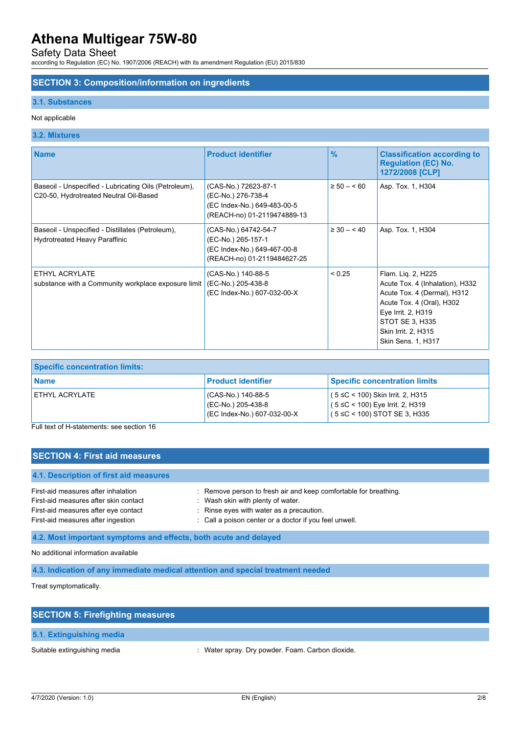Safety Data Sheet

according to Regulation (EC) No. 1907/2006 (REACH) with its amendment Regulation (EU) 2015/830

### **SECTION 3: Composition/information on ingredients**

#### **3.1. Substances**

### Not applicable

## **3.2. Mixtures**

| <b>Name</b>                                                                                     | <b>Product identifier</b>                                                                                | $\frac{9}{6}$  | <b>Classification according to</b><br><b>Regulation (EC) No.</b><br>1272/2008 [CLP]                                                                                                                     |
|-------------------------------------------------------------------------------------------------|----------------------------------------------------------------------------------------------------------|----------------|---------------------------------------------------------------------------------------------------------------------------------------------------------------------------------------------------------|
| Baseoil - Unspecified - Lubricating Oils (Petroleum),<br>C20-50, Hydrotreated Neutral Oil-Based | (CAS-No.) 72623-87-1<br>(EC-No.) 276-738-4<br>(EC Index-No.) 649-483-00-5<br>(REACH-no) 01-2119474889-13 | $\geq 50 - 60$ | Asp. Tox. 1, H304                                                                                                                                                                                       |
| Baseoil - Unspecified - Distillates (Petroleum),<br>Hydrotreated Heavy Paraffinic               | (CAS-No.) 64742-54-7<br>(EC-No.) 265-157-1<br>(EC Index-No.) 649-467-00-8<br>(REACH-no) 01-2119484627-25 | $\geq 30 - 40$ | Asp. Tox. 1, H304                                                                                                                                                                                       |
| ETHYL ACRYLATE<br>substance with a Community workplace exposure limit                           | (CAS-No.) 140-88-5<br>(EC-No.) 205-438-8<br>(EC Index-No.) 607-032-00-X                                  | < 0.25         | Flam. Liq. 2, H225<br>Acute Tox. 4 (Inhalation), H332<br>Acute Tox. 4 (Dermal), H312<br>Acute Tox. 4 (Oral), H302<br>Eye Irrit. 2, H319<br>STOT SE 3, H335<br>Skin Irrit. 2, H315<br>Skin Sens. 1, H317 |

| <b>Specific concentration limits:</b> |                                                                           |                                                                                                                 |
|---------------------------------------|---------------------------------------------------------------------------|-----------------------------------------------------------------------------------------------------------------|
| l Name                                | <b>Product identifier</b>                                                 | <b>Specific concentration limits</b>                                                                            |
| ETHYL ACRYLATE                        | ' (CAS-No.) 140-88-5<br>(EC-No.) 205-438-8<br>(EC Index-No.) 607-032-00-X | $(5 ≤ C < 100)$ Skin Irrit. 2, H315<br>$(5 ≤ C < 100)$ Eye Irrit. 2, H319<br>$(5 \leq C < 100)$ STOT SE 3, H335 |

Full text of H-statements: see section 16

# **SECTION 4: First aid measures**

| 4.1. Description of first aid measures |                                                                  |
|----------------------------------------|------------------------------------------------------------------|
| First-aid measures after inhalation    | : Remove person to fresh air and keep comfortable for breathing. |
| First-aid measures after skin contact  | Wash skin with plenty of water.                                  |
| First-aid measures after eye contact   | : Rinse eyes with water as a precaution.                         |
| First-aid measures after ingestion     | : Call a poison center or a doctor if you feel unwell.           |

**4.2. Most important symptoms and effects, both acute and delayed**

No additional information available

**4.3. Indication of any immediate medical attention and special treatment needed**

Treat symptomatically.

| <b>SECTION 5: Firefighting measures</b> |                                                  |
|-----------------------------------------|--------------------------------------------------|
| 5.1. Extinguishing media                |                                                  |
| Suitable extinguishing media            | : Water spray. Dry powder. Foam. Carbon dioxide. |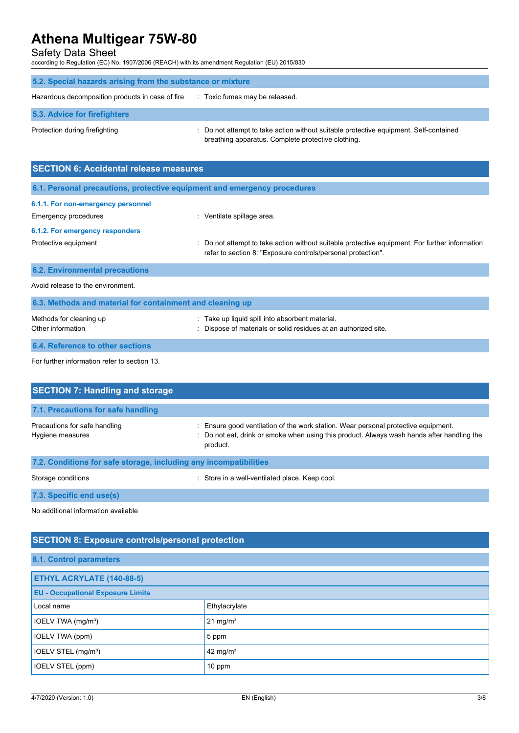Safety Data Sheet

according to Regulation (EC) No. 1907/2006 (REACH) with its amendment Regulation (EU) 2015/830

| 5.2. Special hazards arising from the substance or mixture |                                                                                                                                             |
|------------------------------------------------------------|---------------------------------------------------------------------------------------------------------------------------------------------|
| Hazardous decomposition products in case of fire           | : Toxic fumes may be released.                                                                                                              |
| 5.3. Advice for firefighters                               |                                                                                                                                             |
| Protection during firefighting                             | : Do not attempt to take action without suitable protective equipment. Self-contained<br>breathing apparatus. Complete protective clothing. |

| <b>SECTION 6: Accidental release measures</b>                            |                                                                                                                                                                |  |
|--------------------------------------------------------------------------|----------------------------------------------------------------------------------------------------------------------------------------------------------------|--|
| 6.1. Personal precautions, protective equipment and emergency procedures |                                                                                                                                                                |  |
| 6.1.1. For non-emergency personnel<br>Emergency procedures               | : Ventilate spillage area.                                                                                                                                     |  |
| 6.1.2. For emergency responders<br>Protective equipment                  | : Do not attempt to take action without suitable protective equipment. For further information<br>refer to section 8: "Exposure controls/personal protection". |  |
| <b>6.2. Environmental precautions</b>                                    |                                                                                                                                                                |  |
| Avoid release to the environment.                                        |                                                                                                                                                                |  |
| 6.3. Methods and material for containment and cleaning up                |                                                                                                                                                                |  |
| Methods for cleaning up<br>Other information                             | Take up liquid spill into absorbent material.<br>: Dispose of materials or solid residues at an authorized site.                                               |  |
| 6.4. Reference to other sections                                         |                                                                                                                                                                |  |

For further information refer to section 13.

| <b>SECTION 7: Handling and storage</b>                            |                                                                                                                                                                                            |
|-------------------------------------------------------------------|--------------------------------------------------------------------------------------------------------------------------------------------------------------------------------------------|
| 7.1. Precautions for safe handling                                |                                                                                                                                                                                            |
| Precautions for safe handling<br>Hygiene measures                 | Ensure good ventilation of the work station. Wear personal protective equipment.<br>: Do not eat, drink or smoke when using this product. Always wash hands after handling the<br>product. |
| 7.2. Conditions for safe storage, including any incompatibilities |                                                                                                                                                                                            |
| Storage conditions                                                | : Store in a well-ventilated place. Keep cool.                                                                                                                                             |

**7.3. Specific end use(s)**

No additional information available

# **SECTION 8: Exposure controls/personal protection**

### **8.1. Control parameters**

| ETHYL ACRYLATE (140-88-5)                |               |  |
|------------------------------------------|---------------|--|
| <b>EU - Occupational Exposure Limits</b> |               |  |
| Local name                               | Ethylacrylate |  |
| IOELV TWA (mg/m <sup>3</sup> )           | 21 mg/ $m3$   |  |
| IOELV TWA (ppm)                          | 5 ppm         |  |
| IOELV STEL (mg/m <sup>3</sup> )          | 42 mg/ $m3$   |  |
| IOELV STEL (ppm)                         | $10$ ppm      |  |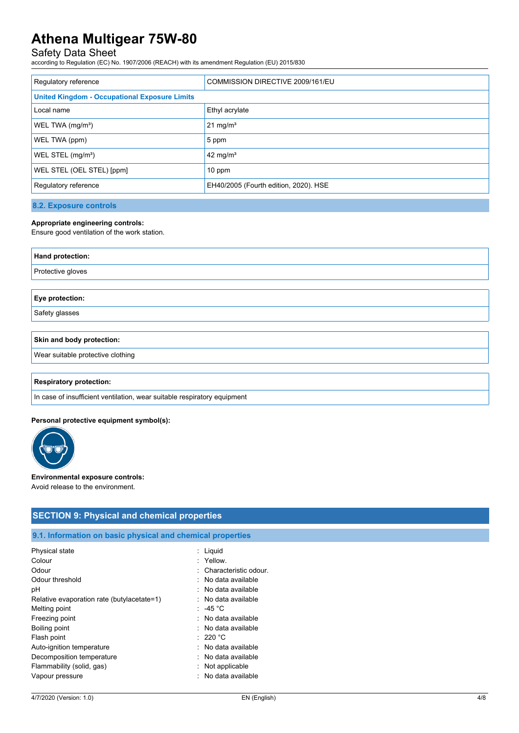# Safety Data Sheet

according to Regulation (EC) No. 1907/2006 (REACH) with its amendment Regulation (EU) 2015/830

| Regulatory reference                                 | COMMISSION DIRECTIVE 2009/161/EU      |
|------------------------------------------------------|---------------------------------------|
| <b>United Kingdom - Occupational Exposure Limits</b> |                                       |
| Local name                                           | Ethyl acrylate                        |
| WEL TWA (mg/m <sup>3</sup> )                         | $21 \text{ mg/m}^3$                   |
| WEL TWA (ppm)                                        | 5 ppm                                 |
| WEL STEL (mg/m <sup>3</sup> )                        | 42 mg/m <sup>3</sup>                  |
| WEL STEL (OEL STEL) [ppm]                            | 10 ppm                                |
| Regulatory reference                                 | EH40/2005 (Fourth edition, 2020). HSE |

**8.2. Exposure controls**

#### **Appropriate engineering controls:**

Ensure good ventilation of the work station.

| Hand protection:  |  |
|-------------------|--|
| Protective gloves |  |
|                   |  |
| Eye protection:   |  |

Safety glasses

### **Skin and body protection:**

Wear suitable protective clothing

#### **Respiratory protection:**

In case of insufficient ventilation, wear suitable respiratory equipment

#### **Personal protective equipment symbol(s):**



#### **Environmental exposure controls:**

Avoid release to the environment.

## **SECTION 9: Physical and chemical properties**

## **9.1. Information on basic physical and chemical properties**

| Physical state                             | : Liquid                |
|--------------------------------------------|-------------------------|
| Colour                                     | : Yellow.               |
| Odour                                      | : Characteristic odour. |
| Odour threshold                            | : No data available     |
| рH                                         | $:$ No data available   |
| Relative evaporation rate (butylacetate=1) | $:$ No data available   |
| Melting point                              | $: 45 \degree$ C        |
| Freezing point                             | : No data available     |
| Boiling point                              | : No data available     |
| Flash point                                | : 220 °C                |
| Auto-ignition temperature                  | : No data available     |
| Decomposition temperature                  | : No data available     |
| Flammability (solid, gas)                  | Not applicable          |
| Vapour pressure                            | : No data available     |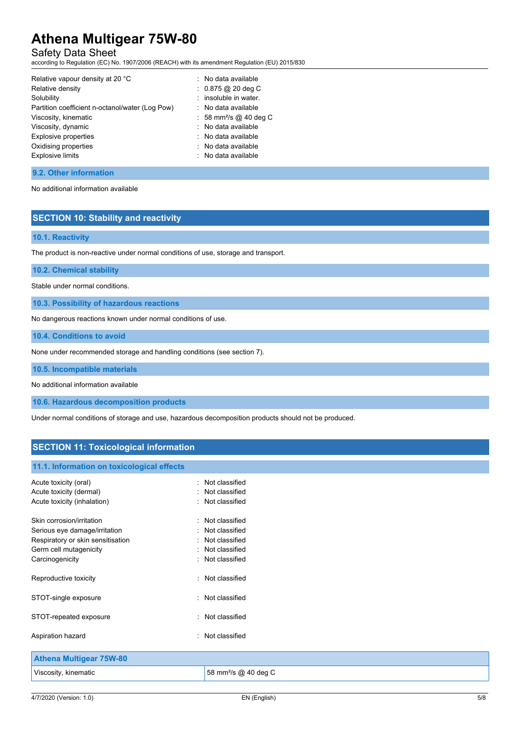# Safety Data Sheet

according to Regulation (EC) No. 1907/2006 (REACH) with its amendment Regulation (EU) 2015/830

| Relative vapour density at 20 °C                | : No data available                |
|-------------------------------------------------|------------------------------------|
| Relative density                                | $: 0.875 @ 20$ deg C               |
| Solubility                                      | insoluble in water.                |
| Partition coefficient n-octanol/water (Log Pow) | : No data available                |
| Viscosity, kinematic                            | : 58 mm <sup>2</sup> /s @ 40 deg C |
| Viscosity, dynamic                              | : No data available                |
| <b>Explosive properties</b>                     | : No data available                |
| Oxidising properties                            | : No data available                |
| <b>Explosive limits</b>                         | $\therefore$ No data available     |
|                                                 |                                    |

## **9.2. Other information**

No additional information available

## **SECTION 10: Stability and reactivity**

### **10.1. Reactivity**

The product is non-reactive under normal conditions of use, storage and transport.

#### **10.2. Chemical stability**

Stable under normal conditions.

**10.3. Possibility of hazardous reactions**

No dangerous reactions known under normal conditions of use.

**10.4. Conditions to avoid**

None under recommended storage and handling conditions (see section 7).

**10.5. Incompatible materials**

No additional information available

**10.6. Hazardous decomposition products**

Under normal conditions of storage and use, hazardous decomposition products should not be produced.

# **SECTION 11: Toxicological information**

#### **11.1. Information on toxicological effects**

| Acute toxicity (oral)<br>Acute toxicity (dermal)<br>Acute toxicity (inhalation)                                                              | $:$ Not classified<br>: Not classified<br>: Not classified                               |
|----------------------------------------------------------------------------------------------------------------------------------------------|------------------------------------------------------------------------------------------|
| Skin corrosion/irritation<br>Serious eye damage/irritation<br>Respiratory or skin sensitisation<br>Germ cell mutagenicity<br>Carcinogenicity | Not classified<br>Not classified<br>Not classified<br>Not classified<br>: Not classified |
| Reproductive toxicity                                                                                                                        | Not classified                                                                           |
| STOT-single exposure                                                                                                                         | : Not classified                                                                         |
| STOT-repeated exposure                                                                                                                       | : Not classified                                                                         |
| Aspiration hazard                                                                                                                            | : Not classified                                                                         |
| Athona Multigoar 75W-80                                                                                                                      |                                                                                          |

| <b>Athena Multigear 75W-80</b> |                                  |  |
|--------------------------------|----------------------------------|--|
| Viscosity, kinematic           | 58 mm <sup>2</sup> /s @ 40 deg C |  |
|                                |                                  |  |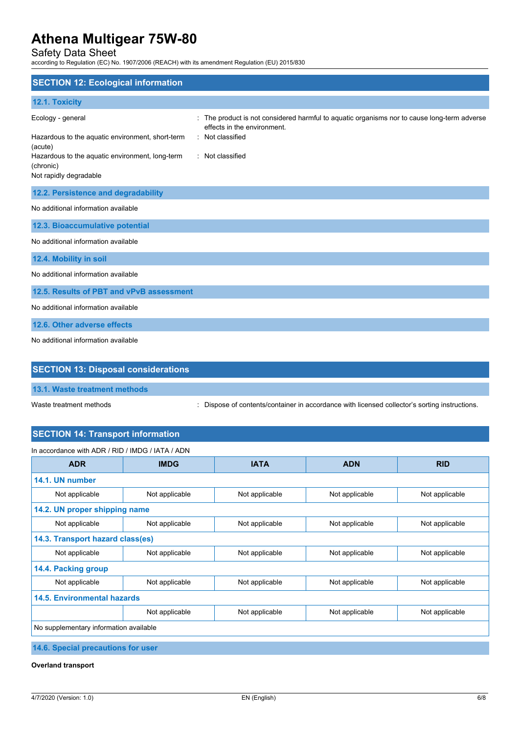Safety Data Sheet

according to Regulation (EC) No. 1907/2006 (REACH) with its amendment Regulation (EU) 2015/830

| <b>SECTION 12: Ecological information</b>                                                                                                                                  |                                                                                                                                                                  |
|----------------------------------------------------------------------------------------------------------------------------------------------------------------------------|------------------------------------------------------------------------------------------------------------------------------------------------------------------|
| 12.1. Toxicity                                                                                                                                                             |                                                                                                                                                                  |
| Ecology - general<br>Hazardous to the aquatic environment, short-term<br>(acute)<br>Hazardous to the aquatic environment, long-term<br>(chronic)<br>Not rapidly degradable | The product is not considered harmful to aquatic organisms nor to cause long-term adverse<br>effects in the environment.<br>: Not classified<br>: Not classified |
| 12.2. Persistence and degradability                                                                                                                                        |                                                                                                                                                                  |
| No additional information available                                                                                                                                        |                                                                                                                                                                  |
| 12.3. Bioaccumulative potential                                                                                                                                            |                                                                                                                                                                  |
| No additional information available                                                                                                                                        |                                                                                                                                                                  |
| 12.4. Mobility in soil                                                                                                                                                     |                                                                                                                                                                  |
| No additional information available                                                                                                                                        |                                                                                                                                                                  |
| 12.5. Results of PBT and vPvB assessment                                                                                                                                   |                                                                                                                                                                  |
| No additional information available                                                                                                                                        |                                                                                                                                                                  |
| 12.6. Other adverse effects                                                                                                                                                |                                                                                                                                                                  |
| No additional information available                                                                                                                                        |                                                                                                                                                                  |

# **SECTION 13: Disposal considerations**

**13.1. Waste treatment methods**

Waste treatment methods : Dispose of contents/container in accordance with licensed collector's sorting instructions.

# **SECTION 14: Transport information**

| In accordance with ADR / RID / IMDG / IATA / ADN |                               |                |                |                |
|--------------------------------------------------|-------------------------------|----------------|----------------|----------------|
| <b>ADR</b>                                       | <b>IMDG</b>                   | <b>IATA</b>    | <b>ADN</b>     | <b>RID</b>     |
| 14.1. UN number                                  |                               |                |                |                |
| Not applicable                                   | Not applicable                | Not applicable | Not applicable | Not applicable |
|                                                  | 14.2. UN proper shipping name |                |                |                |
| Not applicable                                   | Not applicable                | Not applicable | Not applicable | Not applicable |
| 14.3. Transport hazard class(es)                 |                               |                |                |                |
| Not applicable                                   | Not applicable                | Not applicable | Not applicable | Not applicable |
| 14.4. Packing group                              |                               |                |                |                |
| Not applicable                                   | Not applicable                | Not applicable | Not applicable | Not applicable |
| 14.5. Environmental hazards                      |                               |                |                |                |
|                                                  | Not applicable                | Not applicable | Not applicable | Not applicable |
| No supplementary information available           |                               |                |                |                |

**14.6. Special precautions for user**

**Overland transport**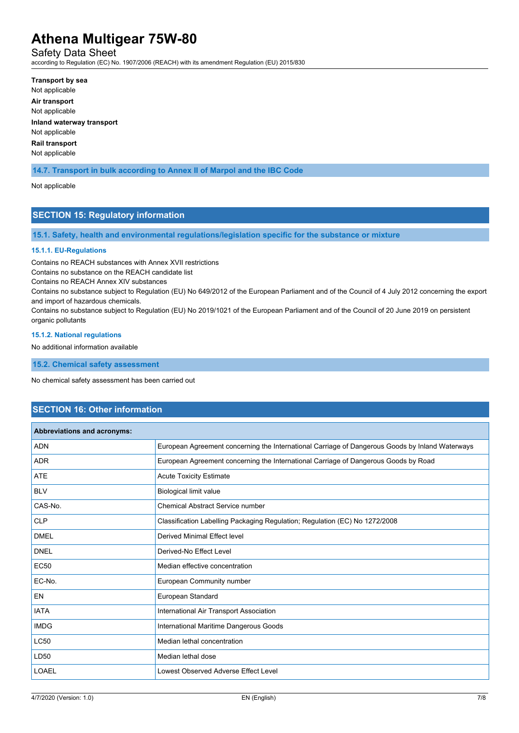Safety Data Sheet

according to Regulation (EC) No. 1907/2006 (REACH) with its amendment Regulation (EU) 2015/830

**Transport by sea** Not applicable **Air transport** Not applicable **Inland waterway transport** Not applicable **Rail transport**

Not applicable

**14.7. Transport in bulk according to Annex II of Marpol and the IBC Code**

Not applicable

# **SECTION 15: Regulatory information**

**15.1. Safety, health and environmental regulations/legislation specific for the substance or mixture**

#### **15.1.1. EU-Regulations**

Contains no REACH substances with Annex XVII restrictions

Contains no substance on the REACH candidate list

Contains no REACH Annex XIV substances

Contains no substance subject to Regulation (EU) No 649/2012 of the European Parliament and of the Council of 4 July 2012 concerning the export and import of hazardous chemicals.

Contains no substance subject to Regulation (EU) No 2019/1021 of the European Parliament and of the Council of 20 June 2019 on persistent organic pollutants

#### **15.1.2. National regulations**

No additional information available

**15.2. Chemical safety assessment**

No chemical safety assessment has been carried out

## **SECTION 16: Other information**

| Abbreviations and acronyms: |                                                                                                 |
|-----------------------------|-------------------------------------------------------------------------------------------------|
| <b>ADN</b>                  | European Agreement concerning the International Carriage of Dangerous Goods by Inland Waterways |
| <b>ADR</b>                  | European Agreement concerning the International Carriage of Dangerous Goods by Road             |
| ATE                         | <b>Acute Toxicity Estimate</b>                                                                  |
| <b>BLV</b>                  | Biological limit value                                                                          |
| CAS-No.                     | Chemical Abstract Service number                                                                |
| <b>CLP</b>                  | Classification Labelling Packaging Regulation; Regulation (EC) No 1272/2008                     |
| <b>DMEL</b>                 | Derived Minimal Effect level                                                                    |
| <b>DNEL</b>                 | Derived-No Effect Level                                                                         |
| <b>EC50</b>                 | Median effective concentration                                                                  |
| EC-No.                      | European Community number                                                                       |
| <b>EN</b>                   | European Standard                                                                               |
| <b>IATA</b>                 | International Air Transport Association                                                         |
| <b>IMDG</b>                 | International Maritime Dangerous Goods                                                          |
| <b>LC50</b>                 | Median lethal concentration                                                                     |
| LD50                        | Median lethal dose                                                                              |
| <b>LOAEL</b>                | Lowest Observed Adverse Effect Level                                                            |